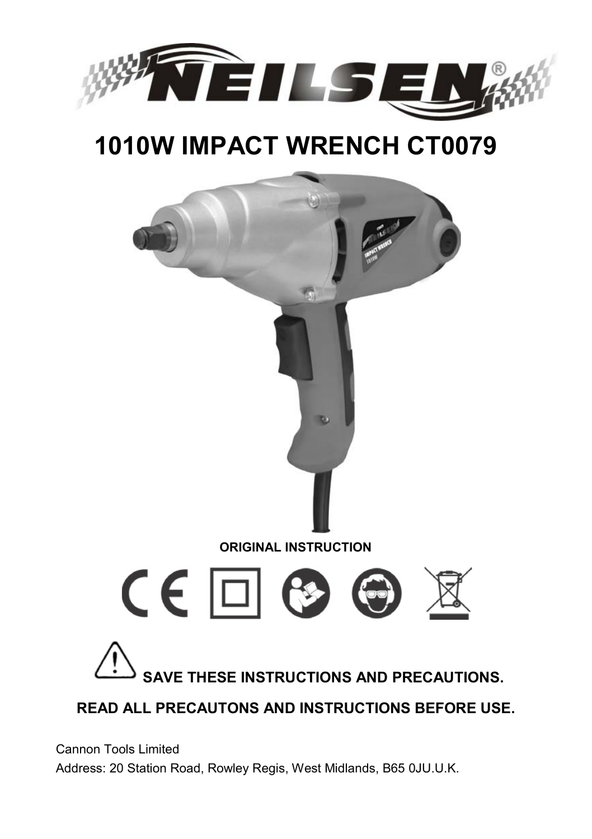

# **1010W IMPACT WRENCH CT0079**



Cannon Tools Limited Address: 20 Station Road, Rowley Regis, West Midlands, B65 0JU.U.K.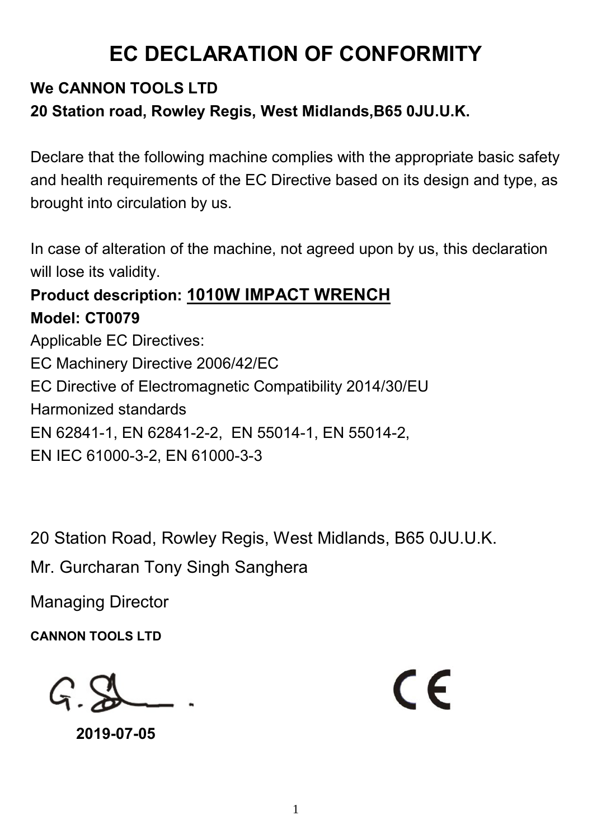## **EC DECLARATION OF CONFORMITY**

## **We CANNON TOOLS LTD 20 Station road, Rowley Regis, West Midlands,B65 0JU.U.K.**

Declare that the following machine complies with the appropriate basic safety and health requirements of the EC Directive based on its design and type, as brought into circulation by us.

In case of alteration of the machine, not agreed upon by us, this declaration will lose its validity.

# **Product description: 1010W IMPACT WRENCH**

**Model: CT0079** Applicable EC Directives: EC Machinery Directive 2006/42/EC EC Directive of Electromagnetic Compatibility 2014/30/EU Harmonized standards EN 62841-1, EN 62841-2-2, EN 55014-1, EN 55014-2, EN IEC 61000-3-2, EN 61000-3-3

20 Station Road, Rowley Regis, West Midlands, B65 0JU.U.K.

Mr. Gurcharan Tony Singh Sanghera

Managing Director

**CANNON TOOLS LTD**

 $G S$ 

**2019-07-05**

 $\epsilon$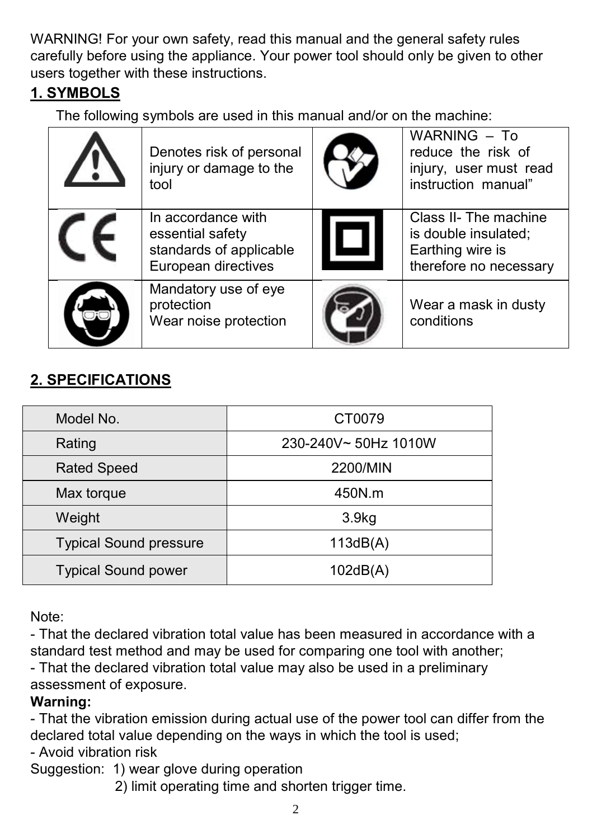WARNING! For your own safety, read this manual and the general safety rules carefully before using the appliance. Your power tool should only be given to other users together with these instructions.

### **1. SYMBOLS**

The following symbols are used in this manual and/or on the machine:

| Denotes risk of personal<br>injury or damage to the<br>tool                              | WARNING - To<br>reduce the risk of<br>injury, user must read<br>instruction manual"         |
|------------------------------------------------------------------------------------------|---------------------------------------------------------------------------------------------|
| In accordance with<br>essential safety<br>standards of applicable<br>European directives | Class II- The machine<br>is double insulated;<br>Earthing wire is<br>therefore no necessary |
| Mandatory use of eye<br>protection<br>Wear noise protection                              | Wear a mask in dusty<br>conditions                                                          |

## **2. SPECIFICATIONS**

| Model No.                     | CT0079               |  |  |
|-------------------------------|----------------------|--|--|
| Rating                        | 230-240V~ 50Hz 1010W |  |  |
| <b>Rated Speed</b>            | 2200/MIN             |  |  |
| Max torque                    | 450N.m               |  |  |
| Weight                        | 3.9 <sub>kg</sub>    |  |  |
| <b>Typical Sound pressure</b> | 113dB(A)             |  |  |
| <b>Typical Sound power</b>    | 102dB(A)             |  |  |

Note:

- That the declared vibration total value has been measured in accordance with a standard test method and may be used for comparing one tool with another; - That the declared vibration total value may also be used in a preliminary

assessment of exposure.

#### **Warning:**

- That the vibration emission during actual use of the power tool can differ from the declared total value depending on the ways in which the tool is used;

- Avoid vibration risk

Suggestion: 1) wear glove during operation

2) limit operating time and shorten trigger time.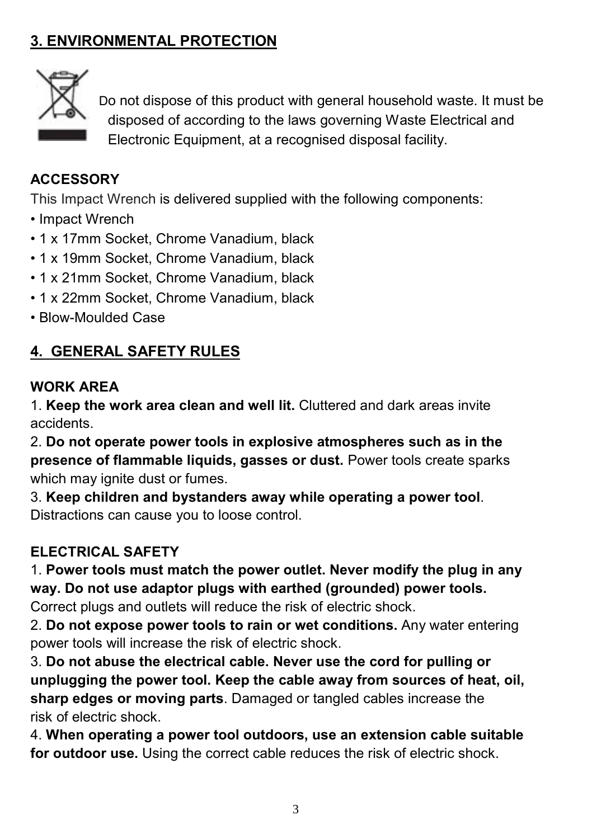## **3. ENVIRONMENTAL PROTECTION**



 Do not dispose of this product with general household waste. It must be disposed of according to the laws governing Waste Electrical and Electronic Equipment, at a recognised disposal facility.

#### **ACCESSORY**

This Impact Wrench is delivered supplied with the following components:

- Impact Wrench
- 1 x 17mm Socket, Chrome Vanadium, black
- 1 x 19mm Socket, Chrome Vanadium, black
- 1 x 21mm Socket, Chrome Vanadium, black
- 1 x 22mm Socket, Chrome Vanadium, black
- Blow-Moulded Case

### **4. GENERAL SAFETY RULES**

#### **WORK AREA**

1. **Keep the work area clean and well lit.** Cluttered and dark areas invite accidents.

2. **Do not operate power tools in explosive atmospheres such as in the presence of flammable liquids, gasses or dust.** Power tools create sparks which may ignite dust or fumes.

3. **Keep children and bystanders away while operating a power tool**. Distractions can cause you to loose control.

#### **ELECTRICAL SAFETY**

1. **Power tools must match the power outlet. Never modify the plug in any way. Do not use adaptor plugs with earthed (grounded) power tools.** Correct plugs and outlets will reduce the risk of electric shock.

2. **Do not expose power tools to rain or wet conditions.** Any water entering power tools will increase the risk of electric shock.

3. **Do not abuse the electrical cable. Never use the cord for pulling or unplugging the power tool. Keep the cable away from sources of heat, oil, sharp edges or moving parts**. Damaged or tangled cables increase the risk of electric shock.

4. **When operating a power tool outdoors, use an extension cable suitable for outdoor use.** Using the correct cable reduces the risk of electric shock.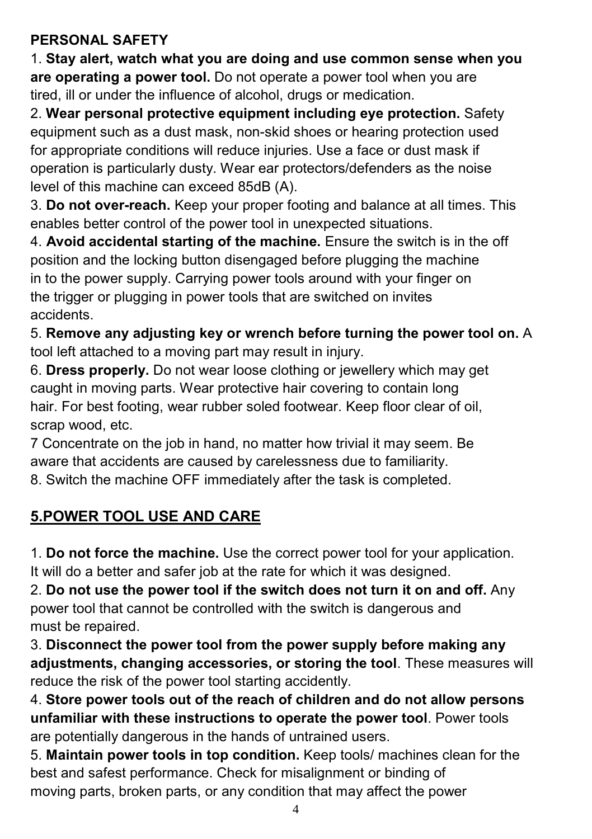#### **PERSONAL SAFETY**

1. **Stay alert, watch what you are doing and use common sense when you are operating a power tool.** Do not operate a power tool when you are tired, ill or under the influence of alcohol, drugs or medication.

2. **Wear personal protective equipment including eye protection.** Safety equipment such as a dust mask, non-skid shoes or hearing protection used for appropriate conditions will reduce injuries. Use a face or dust mask if operation is particularly dusty. Wear ear protectors/defenders as the noise level of this machine can exceed 85dB (A).

3. **Do not over-reach.** Keep your proper footing and balance at all times. This enables better control of the power tool in unexpected situations.

4. **Avoid accidental starting of the machine.** Ensure the switch is in the off position and the locking button disengaged before plugging the machine in to the power supply. Carrying power tools around with your finger on the trigger or plugging in power tools that are switched on invites accidents.

5. **Remove any adjusting key or wrench before turning the power tool on.** A tool left attached to a moving part may result in injury.

6. **Dress properly.** Do not wear loose clothing or jewellery which may get caught in moving parts. Wear protective hair covering to contain long hair. For best footing, wear rubber soled footwear. Keep floor clear of oil, scrap wood, etc.

7 Concentrate on the job in hand, no matter how trivial it may seem. Be aware that accidents are caused by carelessness due to familiarity.

8. Switch the machine OFF immediately after the task is completed.

## **5.POWER TOOL USE AND CARE**

1. **Do not force the machine.** Use the correct power tool for your application. It will do a better and safer job at the rate for which it was designed.

2. **Do not use the power tool if the switch does not turn it on and off.** Any power tool that cannot be controlled with the switch is dangerous and must be repaired.

3. **Disconnect the power tool from the power supply before making any adjustments, changing accessories, or storing the tool**. These measures will reduce the risk of the power tool starting accidently.

4. **Store power tools out of the reach of children and do not allow persons unfamiliar with these instructions to operate the power tool**. Power tools are potentially dangerous in the hands of untrained users.

5. **Maintain power tools in top condition.** Keep tools/ machines clean for the best and safest performance. Check for misalignment or binding of moving parts, broken parts, or any condition that may affect the power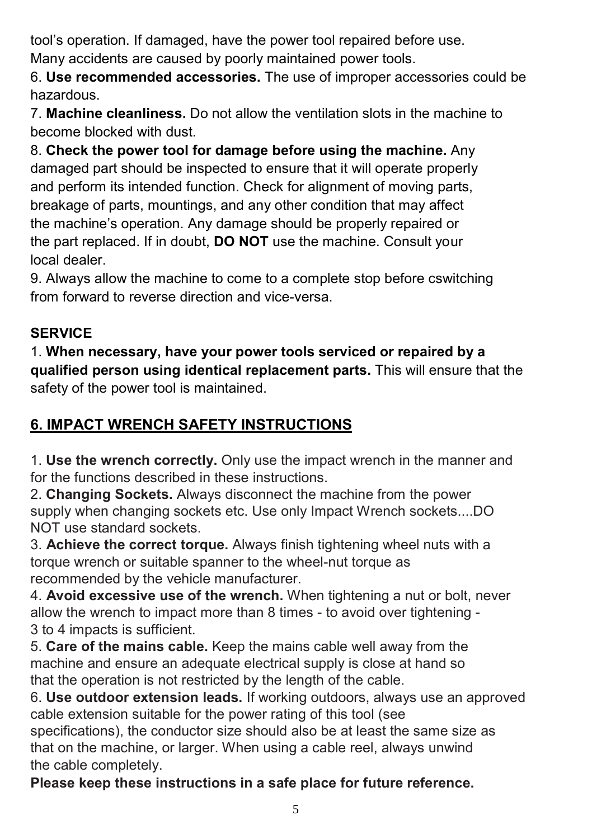tool's operation. If damaged, have the power tool repaired before use. Many accidents are caused by poorly maintained power tools.

6. **Use recommended accessories.** The use of improper accessories could be hazardous.

7. **Machine cleanliness.** Do not allow the ventilation slots in the machine to become blocked with dust.

8. **Check the power tool for damage before using the machine.** Any damaged part should be inspected to ensure that it will operate properly and perform its intended function. Check for alignment of moving parts, breakage of parts, mountings, and any other condition that may affect the machine's operation. Any damage should be properly repaired or the part replaced. If in doubt, **DO NOT** use the machine. Consult your local dealer.

9. Always allow the machine to come to a complete stop before cswitching from forward to reverse direction and vice-versa.

## **SERVICE**

1. **When necessary, have your power tools serviced or repaired by a qualified person using identical replacement parts.** This will ensure that the safety of the power tool is maintained.

## **6. IMPACT WRENCH SAFETY INSTRUCTIONS**

1. **Use the wrench correctly.** Only use the impact wrench in the manner and for the functions described in these instructions.

2. **Changing Sockets.** Always disconnect the machine from the power supply when changing sockets etc. Use only Impact Wrench sockets....DO NOT use standard sockets.

3. **Achieve the correct torque.** Always finish tightening wheel nuts with a torque wrench or suitable spanner to the wheel-nut torque as recommended by the vehicle manufacturer.

4. **Avoid excessive use of the wrench.** When tightening a nut or bolt, never allow the wrench to impact more than 8 times - to avoid over tightening - 3 to 4 impacts is sufficient.

5. **Care of the mains cable.** Keep the mains cable well away from the machine and ensure an adequate electrical supply is close at hand so that the operation is not restricted by the length of the cable.

6. **Use outdoor extension leads.** If working outdoors, always use an approved cable extension suitable for the power rating of this tool (see

specifications), the conductor size should also be at least the same size as that on the machine, or larger. When using a cable reel, always unwind the cable completely.

**Please keep these instructions in a safe place for future reference.**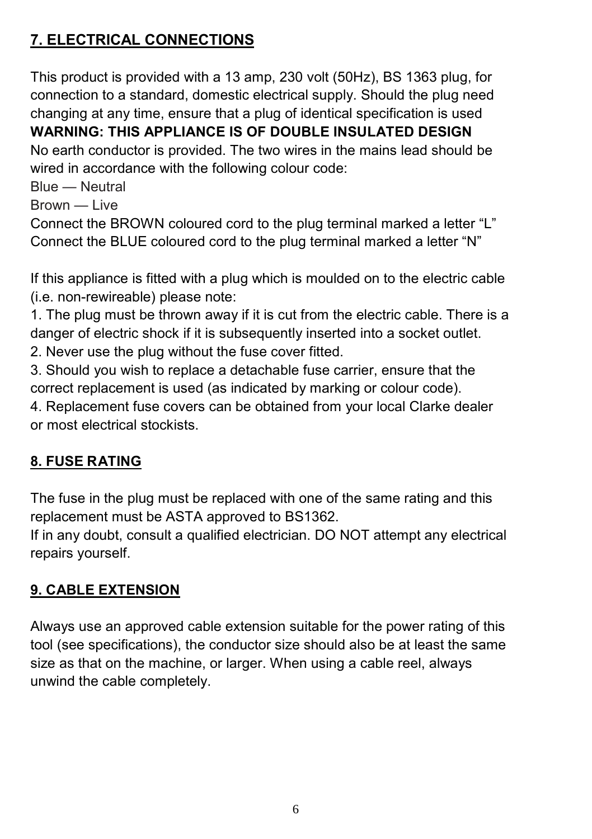## **7. ELECTRICAL CONNECTIONS**

This product is provided with a 13 amp, 230 volt (50Hz), BS 1363 plug, for connection to a standard, domestic electrical supply. Should the plug need changing at any time, ensure that a plug of identical specification is used **WARNING: THIS APPLIANCE IS OF DOUBLE INSULATED DESIGN** No earth conductor is provided. The two wires in the mains lead should be wired in accordance with the following colour code:

Blue — Neutral

Brown — Live

Connect the BROWN coloured cord to the plug terminal marked a letter "L" Connect the BLUE coloured cord to the plug terminal marked a letter "N"

If this appliance is fitted with a plug which is moulded on to the electric cable (i.e. non-rewireable) please note:

1. The plug must be thrown away if it is cut from the electric cable. There is a danger of electric shock if it is subsequently inserted into a socket outlet.

2. Never use the plug without the fuse cover fitted.

3. Should you wish to replace a detachable fuse carrier, ensure that the correct replacement is used (as indicated by marking or colour code).

4. Replacement fuse covers can be obtained from your local Clarke dealer or most electrical stockists.

### **8. FUSE RATING**

The fuse in the plug must be replaced with one of the same rating and this replacement must be ASTA approved to BS1362.

If in any doubt, consult a qualified electrician. DO NOT attempt any electrical repairs yourself.

### **9. CABLE EXTENSION**

Always use an approved cable extension suitable for the power rating of this tool (see specifications), the conductor size should also be at least the same size as that on the machine, or larger. When using a cable reel, always unwind the cable completely.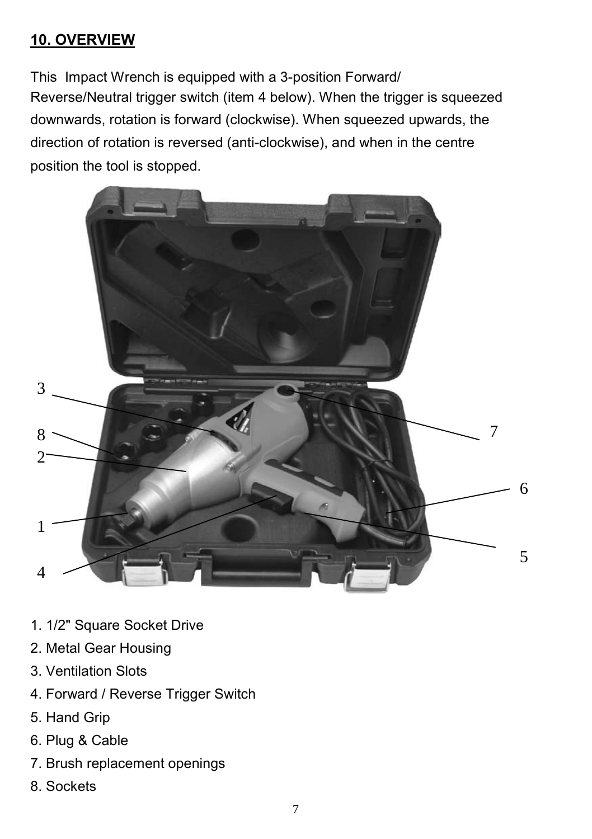### **10. OVERVIEW**

This Impact Wrench is equipped with a 3-position Forward/ Reverse/Neutral trigger switch (item 4 below). When the trigger is squeezed downwards, rotation is forward (clockwise). When squeezed upwards, the direction of rotation is reversed (anti-clockwise), and when in the centre position the tool is stopped.



- 1. 1/2" Square Socket Drive
- 2. Metal Gear Housing
- 3. Ventilation Slots
- 4. Forward / Reverse Trigger Switch
- 5. Hand Grip
- 6. Plug & Cable
- 7. Brush replacement openings
- 8. Sockets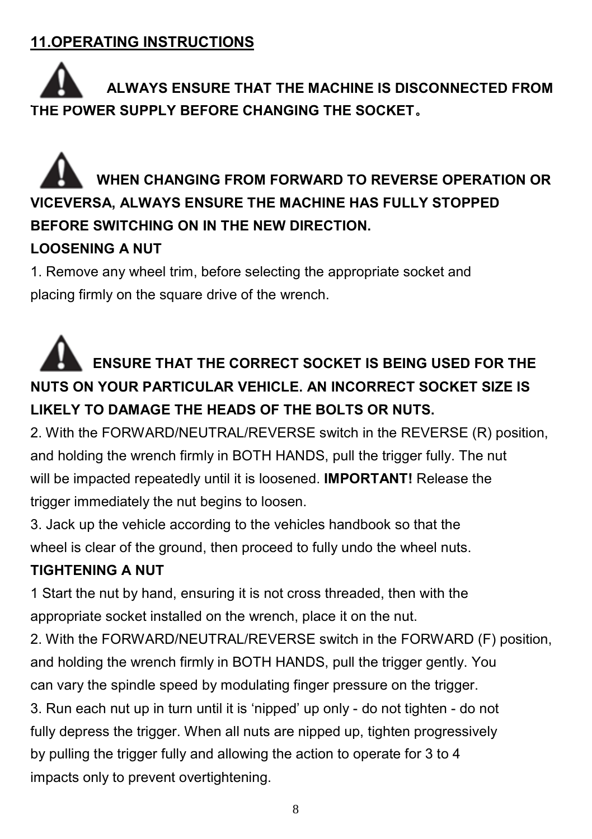## **11.OPERATING INSTRUCTIONS**

## **ALWAYS ENSURE THAT THE MACHINE IS DISCONNECTED FROM THE POWER SUPPLY BEFORE CHANGING THE SOCKET**。

## **WHEN CHANGING FROM FORWARD TO REVERSE OPERATION OR VICEVERSA, ALWAYS ENSURE THE MACHINE HAS FULLY STOPPED BEFORE SWITCHING ON IN THE NEW DIRECTION.**

### **LOOSENING A NUT**

1. Remove any wheel trim, before selecting the appropriate socket and placing firmly on the square drive of the wrench.

## **ENSURE THAT THE CORRECT SOCKET IS BEING USED FOR THE NUTS ON YOUR PARTICULAR VEHICLE. AN INCORRECT SOCKET SIZE IS LIKELY TO DAMAGE THE HEADS OF THE BOLTS OR NUTS.**

2. With the FORWARD/NEUTRAL/REVERSE switch in the REVERSE (R) position, and holding the wrench firmly in BOTH HANDS, pull the trigger fully. The nut will be impacted repeatedly until it is loosened. **IMPORTANT!** Release the trigger immediately the nut begins to loosen.

3. Jack up the vehicle according to the vehicles handbook so that the wheel is clear of the ground, then proceed to fully undo the wheel nuts.

### **TIGHTENING A NUT**

1 Start the nut by hand, ensuring it is not cross threaded, then with the appropriate socket installed on the wrench, place it on the nut.

2. With the FORWARD/NEUTRAL/REVERSE switch in the FORWARD (F) position, and holding the wrench firmly in BOTH HANDS, pull the trigger gently. You can vary the spindle speed by modulating finger pressure on the trigger. 3. Run each nut up in turn until it is 'nipped' up only - do not tighten - do not fully depress the trigger. When all nuts are nipped up, tighten progressively by pulling the trigger fully and allowing the action to operate for 3 to 4 impacts only to prevent overtightening.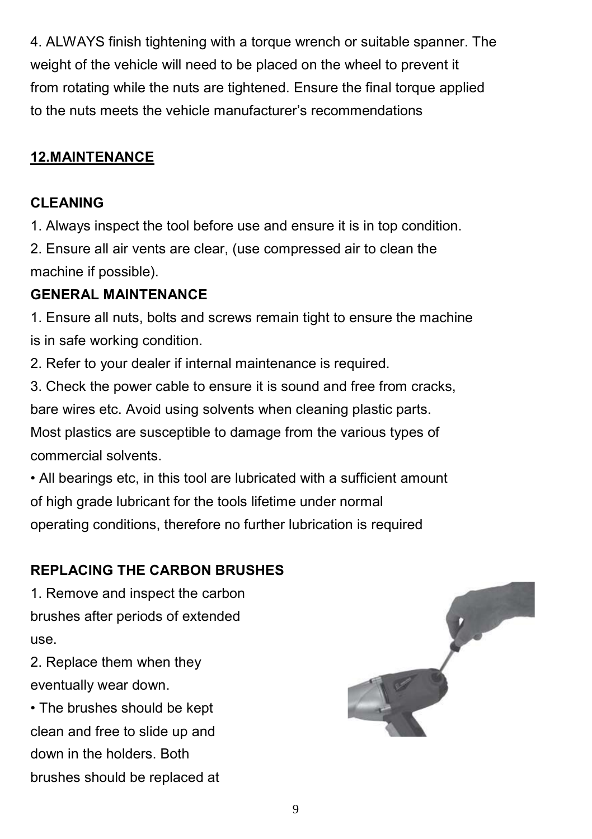4. ALWAYS finish tightening with a torque wrench or suitable spanner. The weight of the vehicle will need to be placed on the wheel to prevent it from rotating while the nuts are tightened. Ensure the final torque applied to the nuts meets the vehicle manufacturer's recommendations

#### **12.MAINTENANCE**

#### **CLEANING**

1. Always inspect the tool before use and ensure it is in top condition.

2. Ensure all air vents are clear, (use compressed air to clean the machine if possible).

#### **GENERAL MAINTENANCE**

1. Ensure all nuts, bolts and screws remain tight to ensure the machine is in safe working condition.

2. Refer to your dealer if internal maintenance is required.

3. Check the power cable to ensure it is sound and free from cracks, bare wires etc. Avoid using solvents when cleaning plastic parts. Most plastics are susceptible to damage from the various types of commercial solvents.

• All bearings etc, in this tool are lubricated with a sufficient amount of high grade lubricant for the tools lifetime under normal operating conditions, therefore no further lubrication is required

#### **REPLACING THE CARBON BRUSHES**

1. Remove and inspect the carbon brushes after periods of extended use.

2. Replace them when they eventually wear down.

• The brushes should be kept clean and free to slide up and down in the holders. Both brushes should be replaced at

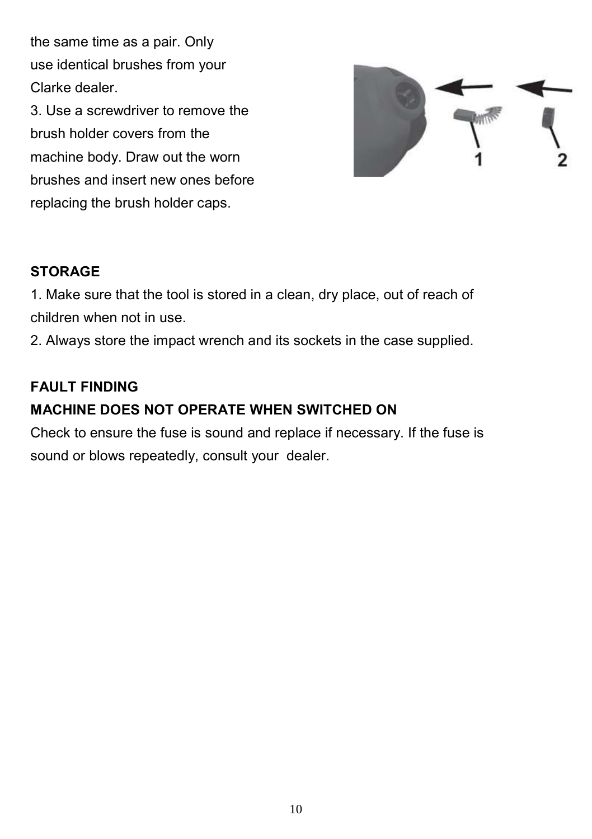the same time as a pair. Only use identical brushes from your Clarke dealer.

3. Use a screwdriver to remove the brush holder covers from the machine body. Draw out the worn brushes and insert new ones before replacing the brush holder caps.



#### **STORAGE**

1. Make sure that the tool is stored in a clean, dry place, out of reach of children when not in use.

2. Always store the impact wrench and its sockets in the case supplied.

#### **FAULT FINDING**

#### **MACHINE DOES NOT OPERATE WHEN SWITCHED ON**

Check to ensure the fuse is sound and replace if necessary. If the fuse is sound or blows repeatedly, consult your dealer.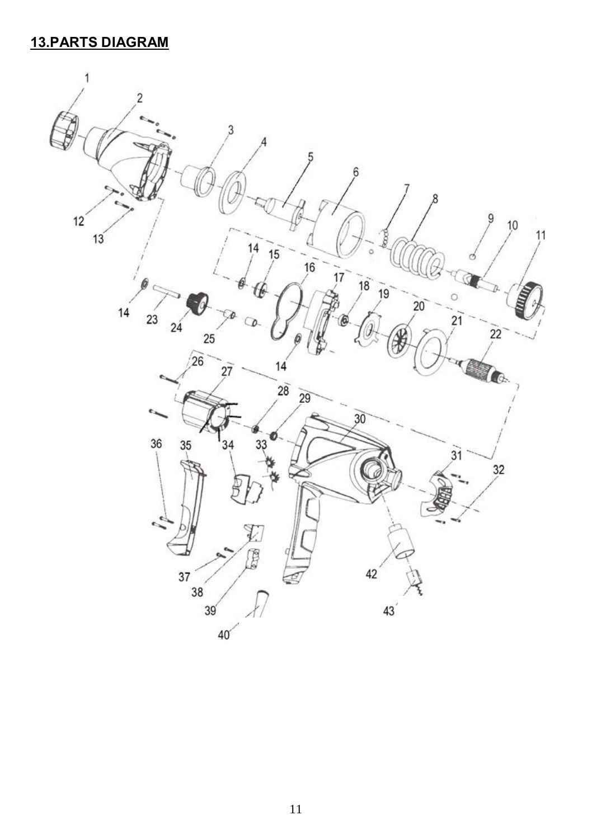## **13.PARTS DIAGRAM**